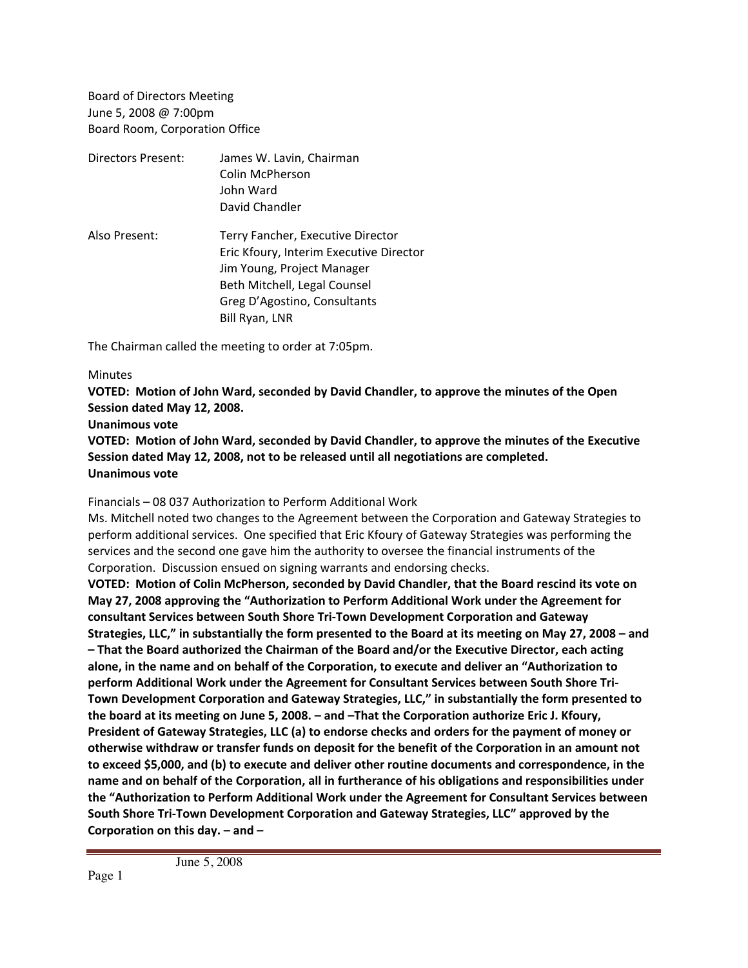Board of Directors Meeting June 5, 2008 @ 7:00pm Board Room, Corporation Office

| Directors Present: | James W. Lavin, Chairman                |
|--------------------|-----------------------------------------|
|                    | Colin McPherson                         |
|                    | John Ward                               |
|                    | David Chandler                          |
| Also Present:      | Terry Fancher, Executive Director       |
|                    | Eric Kfoury, Interim Executive Director |
|                    | Jim Young, Project Manager              |
|                    | Beth Mitchell, Legal Counsel            |
|                    | Greg D'Agostino, Consultants            |
|                    | Bill Ryan, LNR                          |

The Chairman called the meeting to order at 7:05pm.

## **Minutes**

**VOTED: Motion of John Ward, seconded by David Chandler, to approve the minutes of the Open Session dated May 12, 2008.**

## **Unanimous vote**

**VOTED: Motion of John Ward, seconded by David Chandler, to approve the minutes of the Executive Session dated May 12, 2008, not to be released until all negotiations are completed. Unanimous vote**

Financials – 08 037 Authorization to Perform Additional Work

Ms. Mitchell noted two changes to the Agreement between the Corporation and Gateway Strategies to perform additional services. One specified that Eric Kfoury of Gateway Strategies was performing the services and the second one gave him the authority to oversee the financial instruments of the Corporation. Discussion ensued on signing warrants and endorsing checks.

**VOTED: Motion of Colin McPherson, seconded by David Chandler, that the Board rescind its vote on May 27, 2008 approving the "Authorization to Perform Additional Work under the Agreement for consultant Services between South Shore Tri‐Town Development Corporation and Gateway Strategies, LLC," in substantially the form presented to the Board at its meeting on May 27, 2008 – and – That the Board authorized the Chairman of the Board and/or the Executive Director, each acting alone, in the name and on behalf of the Corporation, to execute and deliver an "Authorization to perform Additional Work under the Agreement for Consultant Services between South Shore Tri‐ Town Development Corporation and Gateway Strategies, LLC," in substantially the form presented to the board at its meeting on June 5, 2008. – and –That the Corporation authorize Eric J. Kfoury, President of Gateway Strategies, LLC (a) to endorse checks and orders for the payment of money or otherwise withdraw or transfer funds on deposit for the benefit of the Corporation in an amount not to exceed \$5,000, and (b) to execute and deliver other routine documents and correspondence, in the name and on behalf of the Corporation, all in furtherance of his obligations and responsibilities under the "Authorization to Perform Additional Work under the Agreement for Consultant Services between South Shore Tri‐Town Development Corporation and Gateway Strategies, LLC" approved by the Corporation on this day. – and –**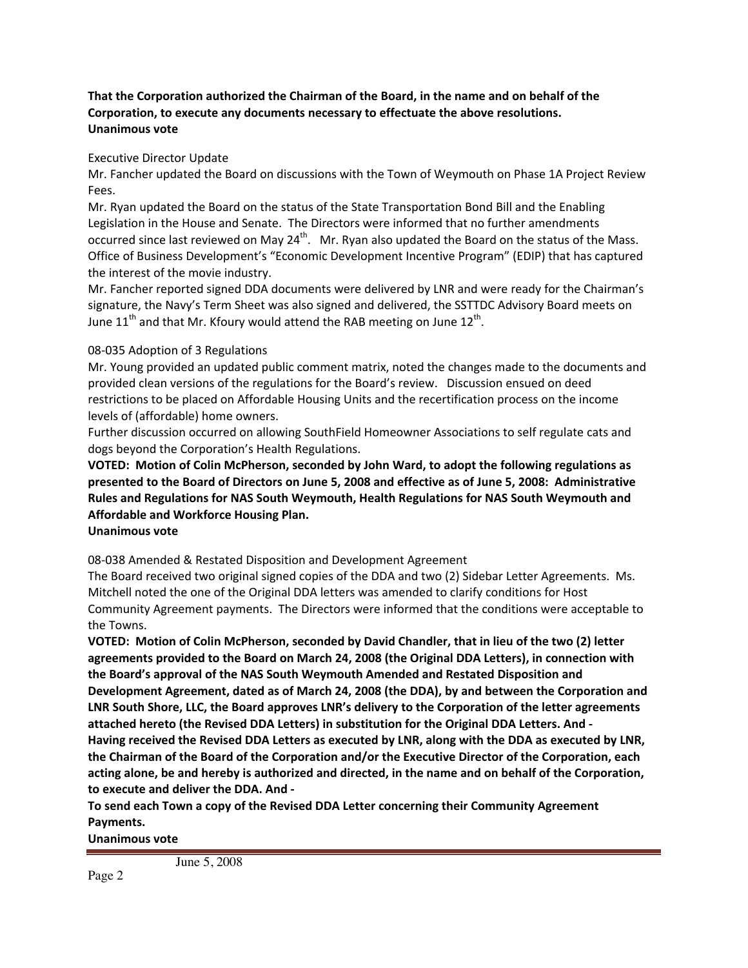## **That the Corporation authorized the Chairman of the Board, in the name and on behalf of the Corporation, to execute any documents necessary to effectuate the above resolutions. Unanimous vote**

Executive Director Update

Mr. Fancher updated the Board on discussions with the Town of Weymouth on Phase 1A Project Review Fees.

Mr. Ryan updated the Board on the status of the State Transportation Bond Bill and the Enabling Legislation in the House and Senate. The Directors were informed that no further amendments occurred since last reviewed on May  $24^{th}$ . Mr. Ryan also updated the Board on the status of the Mass. Office of Business Development's "Economic Development Incentive Program" (EDIP) that has captured the interest of the movie industry.

Mr. Fancher reported signed DDA documents were delivered by LNR and were ready for the Chairman's signature, the Navy's Term Sheet was also signed and delivered, the SSTTDC Advisory Board meets on June 11<sup>th</sup> and that Mr. Kfoury would attend the RAB meeting on June 12<sup>th</sup>.

## 08‐035 Adoption of 3 Regulations

Mr. Young provided an updated public comment matrix, noted the changes made to the documents and provided clean versions of the regulations for the Board's review. Discussion ensued on deed restrictions to be placed on Affordable Housing Units and the recertification process on the income levels of (affordable) home owners.

Further discussion occurred on allowing SouthField Homeowner Associations to self regulate cats and dogs beyond the Corporation's Health Regulations.

**VOTED: Motion of Colin McPherson, seconded by John Ward, to adopt the following regulations as presented to the Board of Directors on June 5, 2008 and effective as of June 5, 2008: Administrative Rules and Regulations for NAS South Weymouth, Health Regulations for NAS South Weymouth and Affordable and Workforce Housing Plan.**

**Unanimous vote**

08‐038 Amended & Restated Disposition and Development Agreement

The Board received two original signed copies of the DDA and two (2) Sidebar Letter Agreements. Ms. Mitchell noted the one of the Original DDA letters was amended to clarify conditions for Host Community Agreement payments. The Directors were informed that the conditions were acceptable to the Towns.

**VOTED: Motion of Colin McPherson, seconded by David Chandler, that in lieu of the two (2) letter agreements provided to the Board on March 24, 2008 (the Original DDA Letters), in connection with the Board's approval of the NAS South Weymouth Amended and Restated Disposition and Development Agreement, dated as of March 24, 2008 (the DDA), by and between the Corporation and LNR South Shore, LLC, the Board approves LNR's delivery to the Corporation of the letter agreements attached hereto (the Revised DDA Letters) in substitution for the Original DDA Letters. And ‐ Having received the Revised DDA Letters as executed by LNR, along with the DDA as executed by LNR, the Chairman of the Board of the Corporation and/or the Executive Director of the Corporation, each acting alone, be and hereby is authorized and directed, in the name and on behalf of the Corporation, to execute and deliver the DDA. And ‐**

**To send each Town a copy of the Revised DDA Letter concerning their Community Agreement Payments.**

**Unanimous vote**